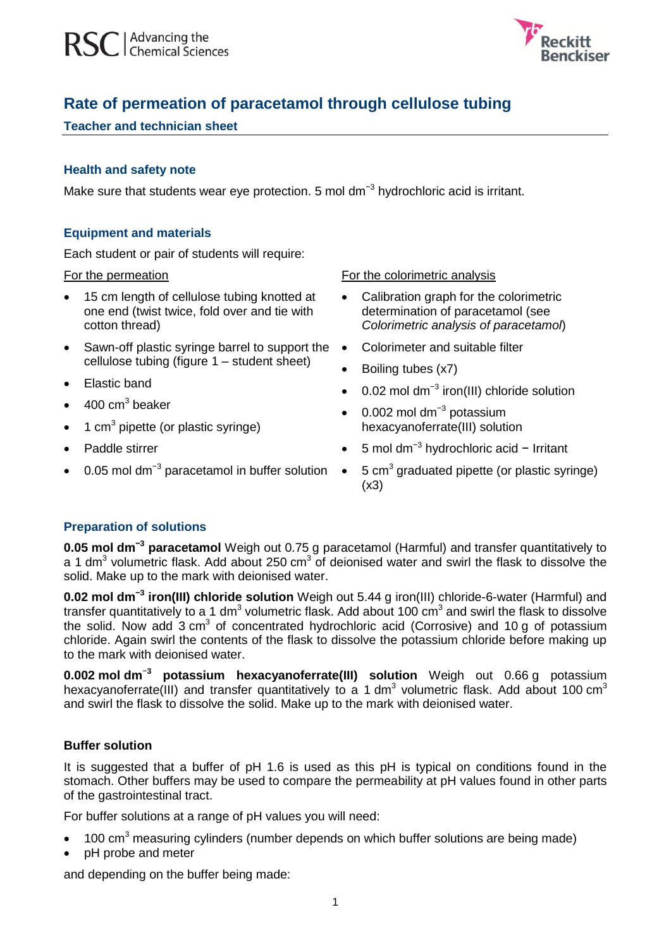

# **Rate of permeation of paracetamol through cellulose tubing**

# **Teacher and technician sheet**

## **Health and safety note**

Make sure that students wear eye protection. 5 mol dm<sup>-3</sup> hydrochloric acid is irritant.

# **Equipment and materials**

Each student or pair of students will require:

#### For the permeation

- 15 cm length of cellulose tubing knotted at one end (twist twice, fold over and tie with cotton thread)
- Sawn-off plastic syringe barrel to support the cellulose tubing (figure 1 – student sheet)
- Elastic band
- $\bullet$  400 cm<sup>3</sup> beaker
- $\bullet$  1 cm<sup>3</sup> pipette (or plastic syringe)
- Paddle stirrer
- 0.05 mol dm<sup>-3</sup> paracetamol in buffer solution

For the colorimetric analysis

- Calibration graph for the colorimetric determination of paracetamol (see *Colorimetric analysis of paracetamol*)
- Colorimeter and suitable filter
- Boiling tubes (x7)
- 0.02 mol dm<sup>-3</sup> iron(III) chloride solution
- 0.002 mol dm<sup>-3</sup> potassium hexacyanoferrate(III) solution
- 5 mol dm−3 hydrochloric acid − Irritant
- $\bullet$  5 cm<sup>3</sup> graduated pipette (or plastic syringe) (x3)

# **Preparation of solutions**

**0.05 mol dm−3 paracetamol** Weigh out 0.75 g paracetamol (Harmful) and transfer quantitatively to a 1 dm<sup>3</sup> volumetric flask. Add about 250 cm<sup>3</sup> of deionised water and swirl the flask to dissolve the solid. Make up to the mark with deionised water.

**0.02 mol dm−3 iron(III) chloride solution** Weigh out 5.44 g iron(III) chloride-6-water (Harmful) and transfer quantitatively to a 1 dm<sup>3</sup> volumetric flask. Add about 100 cm<sup>3</sup> and swirl the flask to dissolve the solid. Now add  $3 \text{ cm}^3$  of concentrated hydrochloric acid (Corrosive) and 10 g of potassium chloride. Again swirl the contents of the flask to dissolve the potassium chloride before making up to the mark with deionised water.

**0.002 mol dm**<sup>−</sup>**<sup>3</sup> potassium hexacyanoferrate(III) solution** Weigh out 0.66 g potassium hexacyanoferrate(III) and transfer quantitatively to a 1 dm<sup>3</sup> volumetric flask. Add about 100 cm<sup>3</sup> and swirl the flask to dissolve the solid. Make up to the mark with deionised water.

### **Buffer solution**

It is suggested that a buffer of pH 1.6 is used as this pH is typical on conditions found in the stomach. Other buffers may be used to compare the permeability at pH values found in other parts of the gastrointestinal tract.

For buffer solutions at a range of pH values you will need:

- 100 cm<sup>3</sup> measuring cylinders (number depends on which buffer solutions are being made)
- pH probe and meter

and depending on the buffer being made: